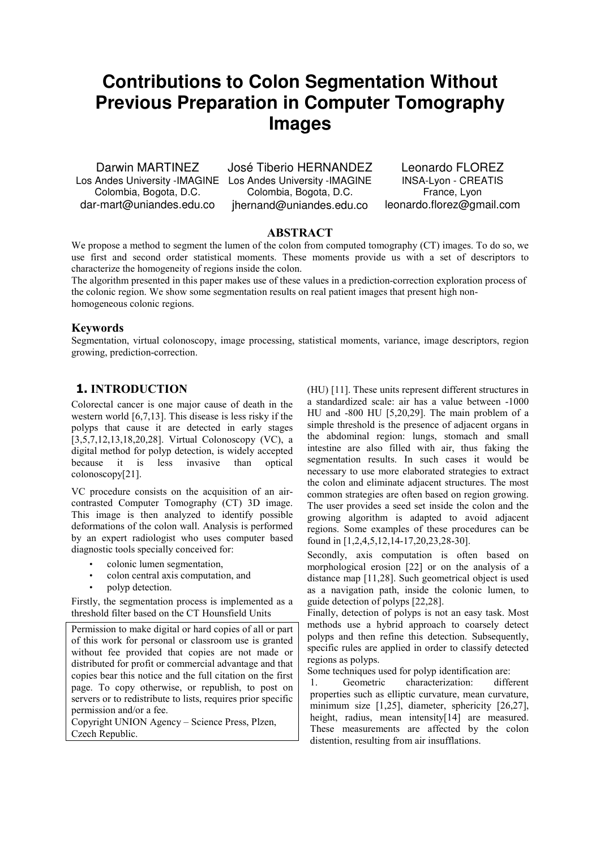# **Contributions to Colon Segmentation Without Previous Preparation in Computer Tomography Images**

Darwin MARTINEZ Colombia, Bogota, D.C. dar-mart@uniandes.edu.co

Los Andes University -IMAGINE Los Andes University -IMAGINE José Tiberio HERNANDEZ Colombia, Bogota, D.C. jhernand@uniandes.edu.co

Leonardo FLOREZ INSA-Lyon - CREATIS France, Lyon leonardo.florez@gmail.com

## ABSTRACT

We propose a method to segment the lumen of the colon from computed tomography (CT) images. To do so, we use first and second order statistical moments. These moments provide us with a set of descriptors to characterize the homogeneity of regions inside the colon.

The algorithm presented in this paper makes use of these values in a prediction-correction exploration process of the colonic region. We show some segmentation results on real patient images that present high nonhomogeneous colonic regions.

## Keywords

Segmentation, virtual colonoscopy, image processing, statistical moments, variance, image descriptors, region growing, prediction-correction.

# 1. INTRODUCTION

Colorectal cancer is one major cause of death in the western world [6,7,13]. This disease is less risky if the polyps that cause it are detected in early stages [3,5,7,12,13,18,20,28]. Virtual Colonoscopy (VC), a digital method for polyp detection, is widely accepted because it is less invasive than optical colonoscopy[21].

VC procedure consists on the acquisition of an aircontrasted Computer Tomography (CT) 3D image. This image is then analyzed to identify possible deformations of the colon wall. Analysis is performed by an expert radiologist who uses computer based diagnostic tools specially conceived for:

- colonic lumen segmentation,
- colon central axis computation, and
- polyp detection.

Firstly, the segmentation process is implemented as a threshold filter based on the CT Hounsfield Units

Permission to make digital or hard copies of all or part of this work for personal or classroom use is granted without fee provided that copies are not made or distributed for profit or commercial advantage and that copies bear this notice and the full citation on the first page. To copy otherwise, or republish, to post on servers or to redistribute to lists, requires prior specific permission and/or a fee.

Copyright UNION Agency – Science Press, Plzen, Czech Republic.

(HU) [11]. These units represent different structures in a standardized scale: air has a value between -1000 HU and -800 HU [5,20,29]. The main problem of a simple threshold is the presence of adjacent organs in the abdominal region: lungs, stomach and small intestine are also filled with air, thus faking the segmentation results. In such cases it would be necessary to use more elaborated strategies to extract the colon and eliminate adjacent structures. The most common strategies are often based on region growing. The user provides a seed set inside the colon and the growing algorithm is adapted to avoid adjacent regions. Some examples of these procedures can be found in [1,2,4,5,12,14-17,20,23,28-30].

Secondly, axis computation is often based on morphological erosion [22] or on the analysis of a distance map [11,28]. Such geometrical object is used as a navigation path, inside the colonic lumen, to guide detection of polyps [22,28].

Finally, detection of polyps is not an easy task. Most methods use a hybrid approach to coarsely detect polyps and then refine this detection. Subsequently, specific rules are applied in order to classify detected regions as polyps.

Some techniques used for polyp identification are:

1. Geometric characterization: different properties such as elliptic curvature, mean curvature, minimum size [1,25], diameter, sphericity [26,27], height, radius, mean intensity[14] are measured. These measurements are affected by the colon distention, resulting from air insufflations.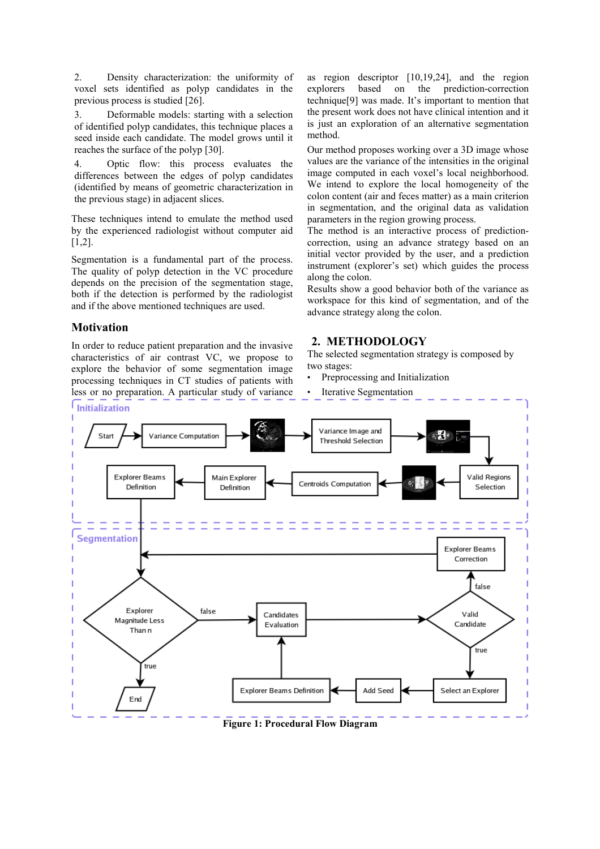2. Density characterization: the uniformity of voxel sets identified as polyp candidates in the previous process is studied [26].

3. Deformable models: starting with a selection of identified polyp candidates, this technique places a seed inside each candidate. The model grows until it reaches the surface of the polyp [30].

4. Optic flow: this process evaluates the differences between the edges of polyp candidates (identified by means of geometric characterization in the previous stage) in adjacent slices.

These techniques intend to emulate the method used by the experienced radiologist without computer aid [1,2].

Segmentation is a fundamental part of the process. The quality of polyp detection in the VC procedure depends on the precision of the segmentation stage, both if the detection is performed by the radiologist and if the above mentioned techniques are used.

## Motivation

In order to reduce patient preparation and the invasive characteristics of air contrast VC, we propose to explore the behavior of some segmentation image processing techniques in CT studies of patients with less or no preparation. A particular study of variance as region descriptor [10,19,24], and the region explorers based on the prediction-correction technique[9] was made. It's important to mention that the present work does not have clinical intention and it is just an exploration of an alternative segmentation method.

Our method proposes working over a 3D image whose values are the variance of the intensities in the original image computed in each voxel's local neighborhood. We intend to explore the local homogeneity of the colon content (air and feces matter) as a main criterion in segmentation, and the original data as validation parameters in the region growing process.

The method is an interactive process of predictioncorrection, using an advance strategy based on an initial vector provided by the user, and a prediction instrument (explorer's set) which guides the process along the colon.

Results show a good behavior both of the variance as workspace for this kind of segmentation, and of the advance strategy along the colon.

# 2. METHODOLOGY

The selected segmentation strategy is composed by two stages:

- Preprocessing and Initialization
- **Iterative Segmentation**



Figure 1: Procedural Flow Diagram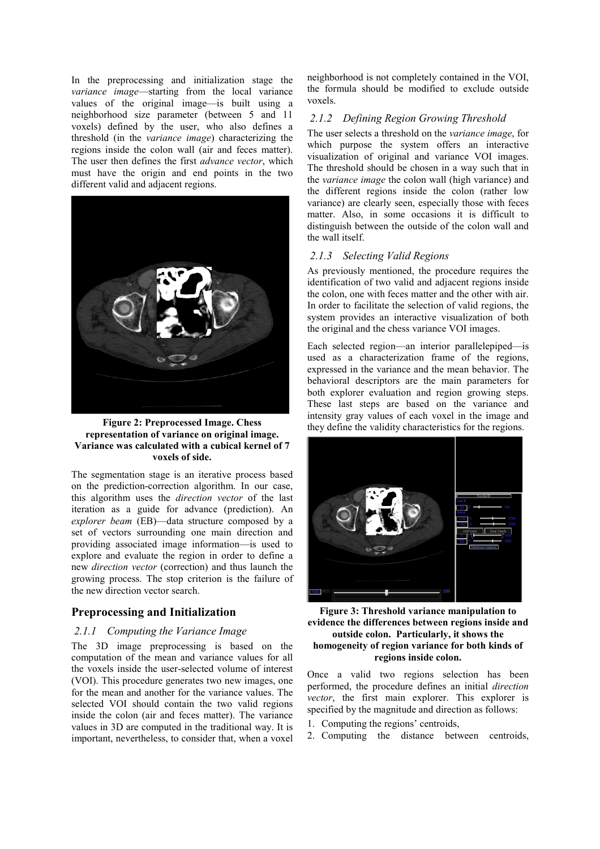In the preprocessing and initialization stage the variance image—starting from the local variance values of the original image—is built using a neighborhood size parameter (between 5 and 11 voxels) defined by the user, who also defines a threshold (in the variance image) characterizing the regions inside the colon wall (air and feces matter). The user then defines the first *advance vector*, which must have the origin and end points in the two different valid and adjacent regions.



Figure 2: Preprocessed Image. Chess representation of variance on original image. Variance was calculated with a cubical kernel of 7 voxels of side.

The segmentation stage is an iterative process based on the prediction-correction algorithm. In our case, this algorithm uses the direction vector of the last iteration as a guide for advance (prediction). An explorer beam (EB)—data structure composed by a set of vectors surrounding one main direction and providing associated image information—is used to explore and evaluate the region in order to define a new direction vector (correction) and thus launch the growing process. The stop criterion is the failure of the new direction vector search.

### Preprocessing and Initialization

#### 2.1.1 Computing the Variance Image

The 3D image preprocessing is based on the computation of the mean and variance values for all the voxels inside the user-selected volume of interest (VOI). This procedure generates two new images, one for the mean and another for the variance values. The selected VOI should contain the two valid regions inside the colon (air and feces matter). The variance values in 3D are computed in the traditional way. It is important, nevertheless, to consider that, when a voxel

neighborhood is not completely contained in the VOI, the formula should be modified to exclude outside voxels.

#### 2.1.2 Defining Region Growing Threshold

The user selects a threshold on the variance image, for which purpose the system offers an interactive visualization of original and variance VOI images. The threshold should be chosen in a way such that in the variance image the colon wall (high variance) and the different regions inside the colon (rather low variance) are clearly seen, especially those with feces matter. Also, in some occasions it is difficult to distinguish between the outside of the colon wall and the wall itself.

#### 2.1.3 Selecting Valid Regions

As previously mentioned, the procedure requires the identification of two valid and adjacent regions inside the colon, one with feces matter and the other with air. In order to facilitate the selection of valid regions, the system provides an interactive visualization of both the original and the chess variance VOI images.

Each selected region—an interior parallelepiped—is used as a characterization frame of the regions, expressed in the variance and the mean behavior. The behavioral descriptors are the main parameters for both explorer evaluation and region growing steps. These last steps are based on the variance and intensity gray values of each voxel in the image and they define the validity characteristics for the regions.



Figure 3: Threshold variance manipulation to evidence the differences between regions inside and outside colon. Particularly, it shows the homogeneity of region variance for both kinds of regions inside colon.

Once a valid two regions selection has been performed, the procedure defines an initial direction vector, the first main explorer. This explorer is specified by the magnitude and direction as follows:

- 1. Computing the regions' centroids,
- 2. Computing the distance between centroids,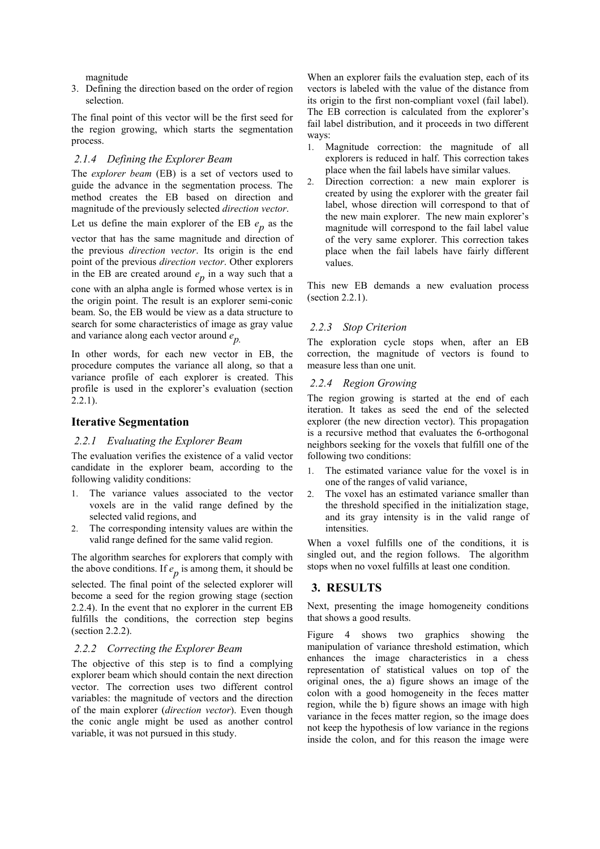magnitude

3. Defining the direction based on the order of region selection.

The final point of this vector will be the first seed for the region growing, which starts the segmentation process.

#### 2.1.4 Defining the Explorer Beam

The explorer beam (EB) is a set of vectors used to guide the advance in the segmentation process. The method creates the EB based on direction and magnitude of the previously selected direction vector.

Let us define the main explorer of the EB  $e_p$  as the

vector that has the same magnitude and direction of the previous direction vector. Its origin is the end point of the previous direction vector. Other explorers in the EB are created around  $e_p$  in a way such that a

cone with an alpha angle is formed whose vertex is in the origin point. The result is an explorer semi-conic beam. So, the EB would be view as a data structure to search for some characteristics of image as gray value and variance along each vector around  $e_p$ .

In other words, for each new vector in EB, the procedure computes the variance all along, so that a variance profile of each explorer is created. This profile is used in the explorer's evaluation (section  $2.2.1$ ).

#### Iterative Segmentation

#### 2.2.1 Evaluating the Explorer Beam

The evaluation verifies the existence of a valid vector candidate in the explorer beam, according to the following validity conditions:

- 1. The variance values associated to the vector voxels are in the valid range defined by the selected valid regions, and
- 2. The corresponding intensity values are within the valid range defined for the same valid region.

The algorithm searches for explorers that comply with the above conditions. If  $e_p$  is among them, it should be selected. The final point of the selected explorer will become a seed for the region growing stage (section 2.2.4). In the event that no explorer in the current EB fulfills the conditions, the correction step begins (section 2.2.2).

#### 2.2.2 Correcting the Explorer Beam

The objective of this step is to find a complying explorer beam which should contain the next direction vector. The correction uses two different control variables: the magnitude of vectors and the direction of the main explorer (direction vector). Even though the conic angle might be used as another control variable, it was not pursued in this study.

When an explorer fails the evaluation step, each of its vectors is labeled with the value of the distance from its origin to the first non-compliant voxel (fail label). The EB correction is calculated from the explorer's fail label distribution, and it proceeds in two different ways:

- 1. Magnitude correction: the magnitude of all explorers is reduced in half. This correction takes place when the fail labels have similar values.
- 2. Direction correction: a new main explorer is created by using the explorer with the greater fail label, whose direction will correspond to that of the new main explorer. The new main explorer's magnitude will correspond to the fail label value of the very same explorer. This correction takes place when the fail labels have fairly different values.

This new EB demands a new evaluation process (section 2.2.1).

#### 2.2.3 Stop Criterion

The exploration cycle stops when, after an EB correction, the magnitude of vectors is found to measure less than one unit.

#### 2.2.4 Region Growing

The region growing is started at the end of each iteration. It takes as seed the end of the selected explorer (the new direction vector). This propagation is a recursive method that evaluates the 6-orthogonal neighbors seeking for the voxels that fulfill one of the following two conditions:

- 1. The estimated variance value for the voxel is in one of the ranges of valid variance,
- 2. The voxel has an estimated variance smaller than the threshold specified in the initialization stage, and its gray intensity is in the valid range of intensities.

When a voxel fulfills one of the conditions, it is singled out, and the region follows. The algorithm stops when no voxel fulfills at least one condition.

## 3. RESULTS

Next, presenting the image homogeneity conditions that shows a good results.

Figure 4 shows two graphics showing the manipulation of variance threshold estimation, which enhances the image characteristics in a chess representation of statistical values on top of the original ones, the a) figure shows an image of the colon with a good homogeneity in the feces matter region, while the b) figure shows an image with high variance in the feces matter region, so the image does not keep the hypothesis of low variance in the regions inside the colon, and for this reason the image were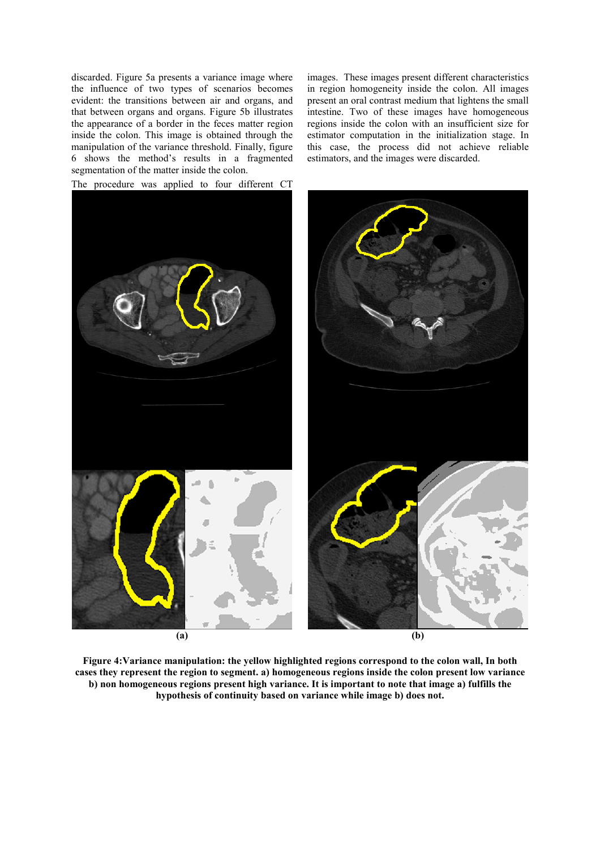discarded. Figure 5a presents a variance image where the influence of two types of scenarios becomes evident: the transitions between air and organs, and that between organs and organs. Figure 5b illustrates the appearance of a border in the feces matter region inside the colon. This image is obtained through the manipulation of the variance threshold. Finally, figure 6 shows the method's results in a fragmented segmentation of the matter inside the colon.

images. These images present different characteristics in region homogeneity inside the colon. All images present an oral contrast medium that lightens the small intestine. Two of these images have homogeneous regions inside the colon with an insufficient size for estimator computation in the initialization stage. In this case, the process did not achieve reliable estimators, and the images were discarded.



Figure 4:Variance manipulation: the yellow highlighted regions correspond to the colon wall, In both cases they represent the region to segment. a) homogeneous regions inside the colon present low variance b) non homogeneous regions present high variance. It is important to note that image a) fulfills the hypothesis of continuity based on variance while image b) does not.

The procedure was applied to four different CT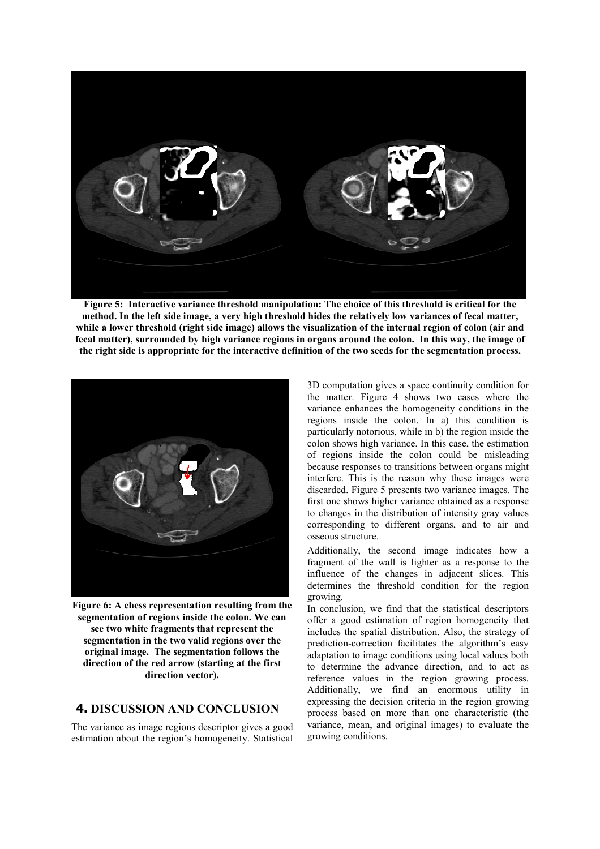

Figure 5: Interactive variance threshold manipulation: The choice of this threshold is critical for the method. In the left side image, a very high threshold hides the relatively low variances of fecal matter, while a lower threshold (right side image) allows the visualization of the internal region of colon (air and fecal matter), surrounded by high variance regions in organs around the colon. In this way, the image of the right side is appropriate for the interactive definition of the two seeds for the segmentation process.



Figure 6: A chess representation resulting from the segmentation of regions inside the colon. We can see two white fragments that represent the segmentation in the two valid regions over the original image. The segmentation follows the direction of the red arrow (starting at the first direction vector).

## 4. DISCUSSION AND CONCLUSION

The variance as image regions descriptor gives a good estimation about the region's homogeneity. Statistical 3D computation gives a space continuity condition for the matter. Figure 4 shows two cases where the variance enhances the homogeneity conditions in the regions inside the colon. In a) this condition is particularly notorious, while in b) the region inside the colon shows high variance. In this case, the estimation of regions inside the colon could be misleading because responses to transitions between organs might interfere. This is the reason why these images were discarded. Figure 5 presents two variance images. The first one shows higher variance obtained as a response to changes in the distribution of intensity gray values corresponding to different organs, and to air and osseous structure.

Additionally, the second image indicates how a fragment of the wall is lighter as a response to the influence of the changes in adjacent slices. This determines the threshold condition for the region growing.

In conclusion, we find that the statistical descriptors offer a good estimation of region homogeneity that includes the spatial distribution. Also, the strategy of prediction-correction facilitates the algorithm's easy adaptation to image conditions using local values both to determine the advance direction, and to act as reference values in the region growing process. Additionally, we find an enormous utility in expressing the decision criteria in the region growing process based on more than one characteristic (the variance, mean, and original images) to evaluate the growing conditions.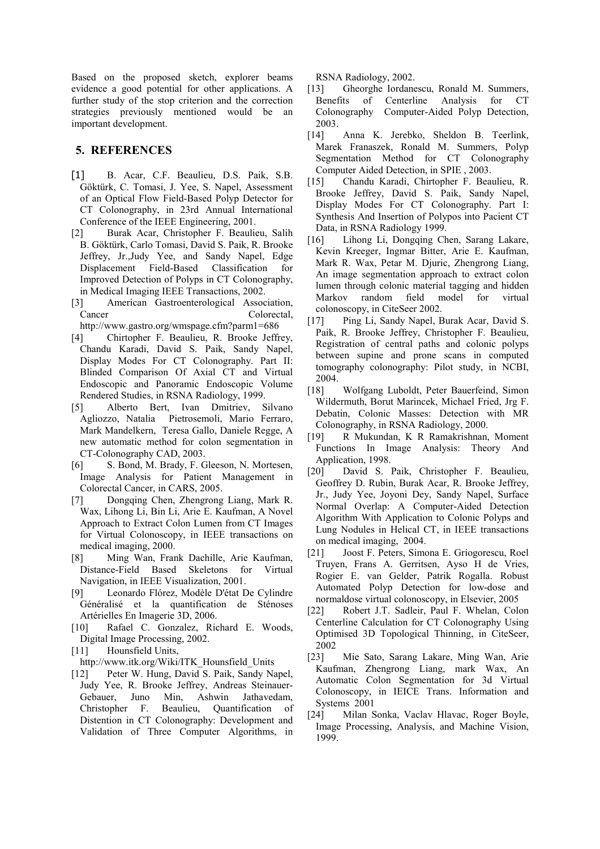Based on the proposed sketch, explorer beams evidence a good potential for other applications. A further study of the stop criterion and the correction strategies previously mentioned would be an important development.

## 5. REFERENCES

- [1] B. Acar, C.F. Beaulieu, D.S. Paik, S.B. Göktürk, C. Tomasi, J. Yee, S. Napel, Assessment of an Optical Flow Field-Based Polyp Detector for CT Colonography, in 23rd Annual International Conference of the IEEE Engineering, 2001.
- [2] Burak Acar, Christopher F. Beaulieu, Salih B. Göktürk, Carlo Tomasi, David S. Paik, R. Brooke Jeffrey, Jr.,Judy Yee, and Sandy Napel, Edge Displacement Field-Based Classification for Improved Detection of Polyps in CT Colonography, in Medical Imaging IEEE Transactions, 2002.
- [3] American Gastroenterological Association, Cancer Colorectal, http://www.gastro.org/wmspage.cfm?parm1=686
- [4] Chirtopher F. Beaulieu, R. Brooke Jeffrey, Chandu Karadi, David S. Paik, Sandy Napel, Display Modes For CT Colonography. Part II: Blinded Comparison Of Axial CT and Virtual Endoscopic and Panoramic Endoscopic Volume Rendered Studies, in RSNA Radiology, 1999.
- [5] Alberto Bert, Ivan Dmitriev, Silvano Agliozzo, Natalia Pietrosemoli, Mario Ferraro, Mark Mandelkern, Teresa Gallo, Daniele Regge, A new automatic method for colon segmentation in CT-Colonography CAD, 2003.
- [6] S. Bond, M. Brady, F. Gleeson, N. Mortesen, Image Analysis for Patient Management in Colorectal Cancer, in CARS, 2005.
- [7] Dongqing Chen, Zhengrong Liang, Mark R. Wax, Lihong Li, Bin Li, Arie E. Kaufman, A Novel Approach to Extract Colon Lumen from CT Images for Virtual Colonoscopy, in IEEE transactions on medical imaging, 2000.
- [8] Ming Wan, Frank Dachille, Arie Kaufman, Distance-Field Based Skeletons for Virtual Navigation, in IEEE Visualization, 2001.<br>[9] Leonardo Flórez, Modèle D'état I
- Leonardo Flórez, Modèle D'état De Cylindre Généralisé et la quantification de Sténoses Artérielles En Imagerie 3D, 2006.
- [10] Rafael C. Gonzalez, Richard E. Woods, Digital Image Processing, 2002.
- [11] Hounsfield Units,
- http://www.itk.org/Wiki/ITK\_Hounsfield\_Units
- [12] Peter W. Hung, David S. Paik, Sandy Napel, Judy Yee, R. Brooke Jeffrey, Andreas Steinauer-Gebauer, Juno Min, Ashwin Jathavedam, Christopher F. Beaulieu, Quantification of Distention in CT Colonography: Development and Validation of Three Computer Algorithms, in

RSNA Radiology, 2002.

- [13] Gheorghe Iordanescu, Ronald M. Summers, Benefits of Centerline Analysis for CT Colonography Computer-Aided Polyp Detection, 2003.
- [14] Anna K. Jerebko, Sheldon B. Teerlink, Marek Franaszek, Ronald M. Summers, Polyp Segmentation Method for CT Colonography Computer Aided Detection, in SPIE , 2003.
- [15] Chandu Karadi, Chirtopher F. Beaulieu, R. Brooke Jeffrey, David S. Paik, Sandy Napel, Display Modes For CT Colonography. Part I: Synthesis And Insertion of Polypos into Pacient CT Data, in RSNA Radiology 1999.
- [16] Lihong Li, Dongqing Chen, Sarang Lakare, Kevin Kreeger, Ingmar Bitter, Arie E. Kaufman, Mark R. Wax, Petar M. Djuric, Zhengrong Liang, An image segmentation approach to extract colon lumen through colonic material tagging and hidden Markov random field model for virtual colonoscopy, in CiteSeer 2002.
- [17] Ping Li, Sandy Napel, Burak Acar, David S. Paik, R. Brooke Jeffrey, Christopher F. Beaulieu, Registration of central paths and colonic polyps between supine and prone scans in computed tomography colonography: Pilot study, in NCBI, 2004.
- [18] Wolfgang Luboldt, Peter Bauerfeind, Simon Wildermuth, Borut Marincek, Michael Fried, Jrg F. Debatin, Colonic Masses: Detection with MR Colonography, in RSNA Radiology, 2000.
- [19] R Mukundan, K R Ramakrishnan, Moment Functions In Image Analysis: Theory And Application, 1998.
- [20] David S. Paik, Christopher F. Beaulieu, Geoffrey D. Rubin, Burak Acar, R. Brooke Jeffrey, Jr., Judy Yee, Joyoni Dey, Sandy Napel, Surface Normal Overlap: A Computer-Aided Detection Algorithm With Application to Colonic Polyps and Lung Nodules in Helical CT, in IEEE transactions on medical imaging, 2004.
- [21] Joost F. Peters, Simona E. Griogorescu, Roel Truyen, Frans A. Gerritsen, Ayso H de Vries, Rogier E. van Gelder, Patrik Rogalla. Robust Automated Polyp Detection for low-dose and normaldose virtual colonoscopy, in Elsevier, 2005
- [22] Robert J.T. Sadleir, Paul F. Whelan, Colon Centerline Calculation for CT Colonography Using Optimised 3D Topological Thinning, in CiteSeer, 2002
- [23] Mie Sato, Sarang Lakare, Ming Wan, Arie Kaufman, Zhengrong Liang, mark Wax, An Automatic Colon Segmentation for 3d Virtual Colonoscopy, in IEICE Trans. Information and Systems 2001
- [24] Milan Sonka, Vaclav Hlavac, Roger Boyle, Image Processing, Analysis, and Machine Vision, 1999.